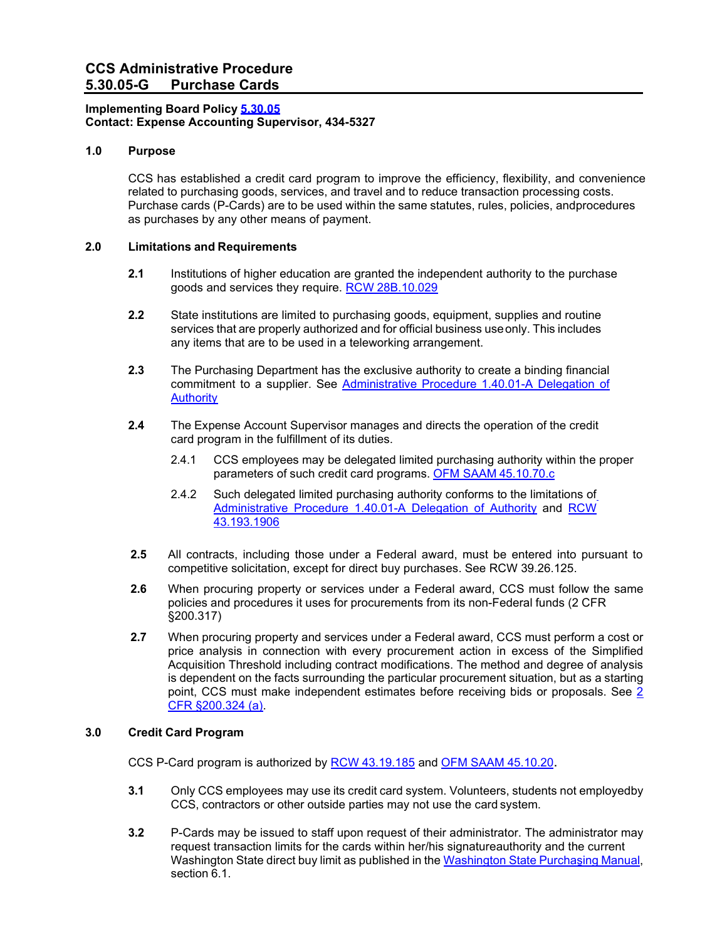### **Implementing Board Policy [5.30.05](https://ccs.spokane.edu/About-Us/Leadership/Board-of-Trustees/Policies-Procedures/Chapter5#AccWE2-11) Contact: Expense Accounting Supervisor, 434-5327**

# **1.0 Purpose**

CCS has established a credit card program to improve the efficiency, flexibility, and convenience related to purchasing goods, services, and travel and to reduce transaction processing costs. Purchase cards (P-Cards) are to be used within the same statutes, rules, policies, andprocedures as purchases by any other means of payment.

# **2.0 Limitations and Requirements**

- **2.1** Institutions of higher education are granted the independent authority to the purchase goods and services they require. RCW [28B.10.029](http://apps.leg.wa.gov/RCW/default.aspx?cite=28B.10.029)
- **2.2** State institutions are limited to purchasing goods, equipment, supplies and routine services that are properly authorized and for official business useonly. This includes any items that are to be used in a teleworking arrangement.
- **2.3** The Purchasing Department has the exclusive authority to create a binding financial commitment to a supplier. See [Administrative Procedure 1.40.01-A Delegation of](https://ccs.spokane.edu/ccsglobal/media/Global/PDFs/District/Policies/CH1/1-40-01A_DelegationAuthority.pdf) **[Authority](https://ccs.spokane.edu/ccsglobal/media/Global/PDFs/District/Policies/CH1/1-40-01A_DelegationAuthority.pdf)**
- **2.4** The Expense Account Supervisor manages and directs the operation of the credit card program in the fulfillment of its duties.
	- 2.4.1 CCS employees may be delegated limited purchasing authority within the proper parameters of such credit card programs. [OFM SAAM](http://www.ofm.wa.gov/policy/45.10.htm) 45.10.70.c
	- 2.4.2 Such delegated limited purchasing authority conforms to the limitations of [Administrative Procedure 1.40.01-A Delegation of Authority](https://ccs.spokane.edu/ccsglobal/media/Global/PDFs/District/Policies/CH1/1-40-01A_DelegationAuthority.pdf) and [RCW](http://apps.leg.wa.gov/RCW/default.aspx?cite=43.19.1906) [43.193.1906](http://apps.leg.wa.gov/RCW/default.aspx?cite=43.19.1906)
- **2.5** All contracts, including those under a Federal award, must be entered into pursuant to competitive solicitation, except for direct buy purchases. See RCW 39.26.125.
- **2.6** When procuring property or services under a Federal award, CCS must follow the same policies and procedures it uses for procurements from its non-Federal funds (2 CFR §200.317)
- **2.7** When procuring property and services under a Federal award, CCS must perform a cost or price analysis in connection with every procurement action in excess of the Simplified Acquisition Threshold including contract modifications. The method and degree of analysis is dependent on the facts surrounding the particular procurement situation, but as a starting point, CCS must make independent estimates before receiving bids or proposals. See [2](https://ecfr.federalregister.gov/current/title-2/subtitle-A/chapter-II/part-200/subpart-D/subject-group-ECFR1ad5506a4809976/section-200.324)  [CFR §200.324 \(a\).](https://ecfr.federalregister.gov/current/title-2/subtitle-A/chapter-II/part-200/subpart-D/subject-group-ECFR1ad5506a4809976/section-200.324)

#### **3.0 Credit Card Program**

CCS P-Card program is authorized by RCW [43.19.185](http://apps.leg.wa.gov/RCW/default.aspx?cite=43.19.185) and OFM SAAM [45.10.20.](http://www.ofm.wa.gov/policy/45.10.htm)

- **3.1** Only CCS employees may use its credit card system. Volunteers, students not employedby CCS, contractors or other outside parties may not use the card system.
- **3.2** P-Cards may be issued to staff upon request of their administrator. The administrator may request transaction limits for the cards within her/his signatureauthority and the current [Washington State](http://des.wa.gov/sites/default/files/public/documents/ContractingPurchasing/Washington-Purchasing-Manual.pdf) direct buy limit as published in the Washington State Purchasing Manual, section 6.1.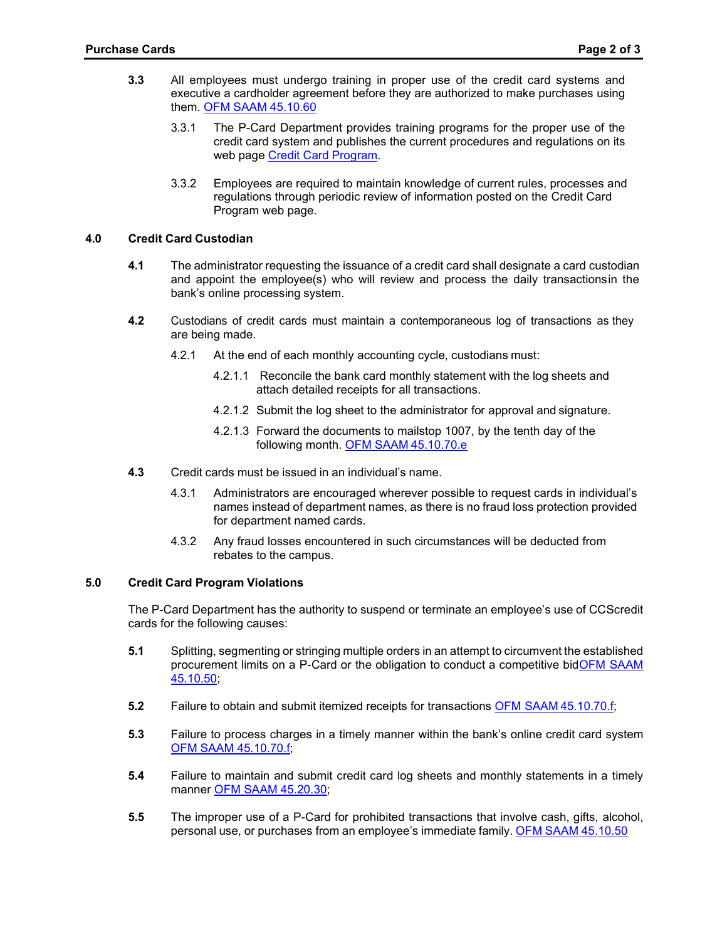- **3.3** All employees must undergo training in proper use of the credit card systems and executive a cardholder agreement before they are authorized to make purchases using them. OFM SAAM [45.10.60](http://www.ofm.wa.gov/policy/45.10.htm)
	- 3.3.1 The P-Card Department provides training programs for the proper use of the credit card system and publishes the current procedures and regulations on its web page Credit Card [Program.](http://ccsnet.ccs.spokane.edu/Purchasing/CUSTOM-PAGES/Credit-Card-Programs.aspx)
	- 3.3.2 Employees are required to maintain knowledge of current rules, processes and regulations through periodic review of information posted on the Credit Card Program web page.

#### **4.0 Credit Card Custodian**

- **4.1** The administrator requesting the issuance of a credit card shall designate a card custodian and appoint the employee(s) who will review and process the daily transactionsin the bank's online processing system.
- **4.2** Custodians of credit cards must maintain a contemporaneous log of transactions as they are being made.
	- 4.2.1 At the end of each monthly accounting cycle, custodians must:
		- 4.2.1.1 Reconcile the bank card monthly statement with the log sheets and attach detailed receipts for all transactions.
		- 4.2.1.2 Submit the log sheet to the administrator for approval and signature.
		- 4.2.1.3 Forward the documents to mailstop 1007, by the tenth day of the following month. OFM SAAM [45.10.70.e](http://www.ofm.wa.gov/policy/45.10.htm)
- **4.3** Credit cards must be issued in an individual's name.
	- 4.3.1 Administrators are encouraged wherever possible to request cards in individual's names instead of department names, as there is no fraud loss protection provided for department named cards.
	- 4.3.2 Any fraud losses encountered in such circumstances will be deducted from rebates to the campus.

#### **5.0 Credit Card Program Violations**

The P-Card Department has the authority to suspend or terminate an employee's use of CCScredit cards for the following causes:

- **5.1** Splitting, segmenting or stringing multiple orders in an attempt to circumvent the established procurement limits on a P-Card or the obligation to conduct a competitive bidOFM [SAAM](https://www.ofm.wa.gov/accounting/saam/contents) [45.10.50;](https://www.ofm.wa.gov/accounting/saam/contents)
- **5.2** Failure to obtain and submit itemized receipts for transactions OFM SAAM [45.10.70.f;](https://www.ofm.wa.gov/accounting/saam/contents)
- **5.3** Failure to process charges in a timely manner within the bank's online credit card system OFM SAAM [45.10.70.f;](https://www.ofm.wa.gov/accounting/saam/contents)
- **5.4** Failure to maintain and submit credit card log sheets and monthly statements in a timely manner OFM SAAM [45.20.30;](https://www.ofm.wa.gov/accounting/saam/contents)
- **5.5** The improper use of a P-Card for prohibited transactions that involve cash, gifts, alcohol, personal use, or purchases from an employee's immediate family. OFM SAAM [45.10.50](https://www.ofm.wa.gov/accounting/saam/contents)